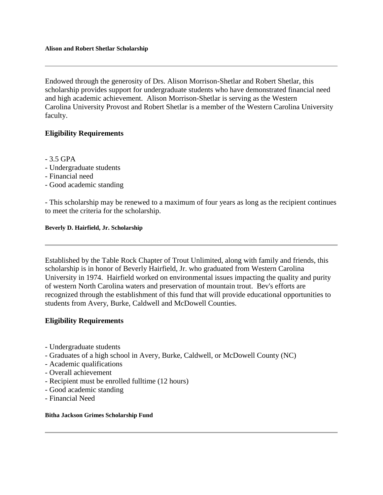Endowed through the generosity of Drs. Alison Morrison-Shetlar and Robert Shetlar, this scholarship provides support for undergraduate students who have demonstrated financial need and high academic achievement. Alison Morrison-Shetlar is serving as the Western Carolina University Provost and Robert Shetlar is a member of the Western Carolina University faculty.

# **Eligibility Requirements**

- 3.5 GPA
- Undergraduate students
- Financial need
- Good academic standing

- This scholarship may be renewed to a maximum of four years as long as the recipient continues to meet the criteria for the scholarship.

### **Beverly D. Hairfield, Jr. Scholarship**

Established by the Table Rock Chapter of Trout Unlimited, along with family and friends, this scholarship is in honor of Beverly Hairfield, Jr. who graduated from Western Carolina University in 1974. Hairfield worked on environmental issues impacting the quality and purity of western North Carolina waters and preservation of mountain trout. Bev's efforts are recognized through the establishment of this fund that will provide educational opportunities to students from Avery, Burke, Caldwell and McDowell Counties.

## **Eligibility Requirements**

- Undergraduate students
- Graduates of a high school in Avery, Burke, Caldwell, or McDowell County (NC)
- Academic qualifications
- Overall achievement
- Recipient must be enrolled fulltime (12 hours)
- Good academic standing
- Financial Need

### **Bitha Jackson Grimes Scholarship Fund**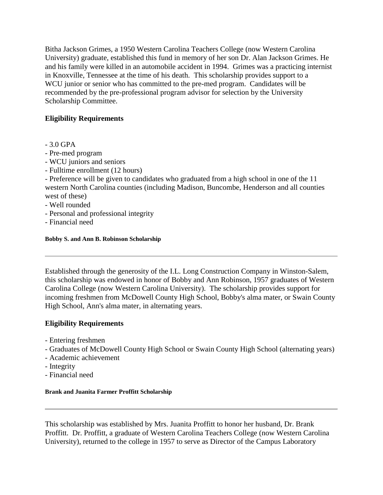Bitha Jackson Grimes, a 1950 Western Carolina Teachers College (now Western Carolina University) graduate, established this fund in memory of her son Dr. Alan Jackson Grimes. He and his family were killed in an automobile accident in 1994. Grimes was a practicing internist in Knoxville, Tennessee at the time of his death. This scholarship provides support to a WCU junior or senior who has committed to the pre-med program. Candidates will be recommended by the pre-professional program advisor for selection by the University Scholarship Committee.

# **Eligibility Requirements**

- 3.0 GPA
- Pre-med program
- WCU juniors and seniors
- Fulltime enrollment (12 hours)

- Preference will be given to candidates who graduated from a high school in one of the 11 western North Carolina counties (including Madison, Buncombe, Henderson and all counties west of these)

- Well rounded
- Personal and professional integrity
- Financial need

# **Bobby S. and Ann B. Robinson Scholarship**

Established through the generosity of the I.L. Long Construction Company in Winston-Salem, this scholarship was endowed in honor of Bobby and Ann Robinson, 1957 graduates of Western Carolina College (now Western Carolina University). The scholarship provides support for incoming freshmen from McDowell County High School, Bobby's alma mater, or Swain County High School, Ann's alma mater, in alternating years.

# **Eligibility Requirements**

- Entering freshmen
- Graduates of McDowell County High School or Swain County High School (alternating years)
- Academic achievement
- Integrity
- Financial need

## **Brank and Juanita Farmer Proffitt Scholarship**

This scholarship was established by Mrs. Juanita Proffitt to honor her husband, Dr. Brank Proffitt. Dr. Proffitt, a graduate of Western Carolina Teachers College (now Western Carolina University), returned to the college in 1957 to serve as Director of the Campus Laboratory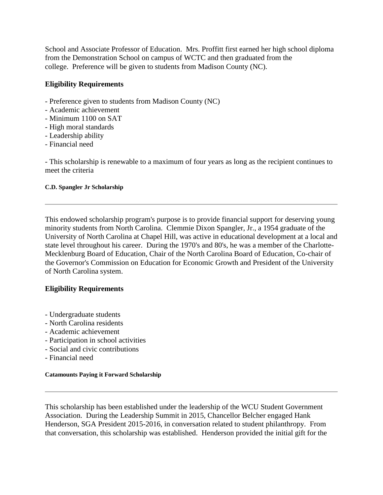School and Associate Professor of Education. Mrs. Proffitt first earned her high school diploma from the Demonstration School on campus of WCTC and then graduated from the college. Preference will be given to students from Madison County (NC).

# **Eligibility Requirements**

- Preference given to students from Madison County (NC)
- Academic achievement
- Minimum 1100 on SAT
- High moral standards
- Leadership ability
- Financial need

- This scholarship is renewable to a maximum of four years as long as the recipient continues to meet the criteria

## **C.D. Spangler Jr Scholarship**

This endowed scholarship program's purpose is to provide financial support for deserving young minority students from North Carolina. Clemmie Dixon Spangler, Jr., a 1954 graduate of the University of North Carolina at Chapel Hill, was active in educational development at a local and state level throughout his career. During the 1970's and 80's, he was a member of the Charlotte-Mecklenburg Board of Education, Chair of the North Carolina Board of Education, Co-chair of the Governor's Commission on Education for Economic Growth and President of the University of North Carolina system.

# **Eligibility Requirements**

- Undergraduate students
- North Carolina residents
- Academic achievement
- Participation in school activities
- Social and civic contributions
- Financial need

## **Catamounts Paying it Forward Scholarship**

This scholarship has been established under the leadership of the WCU Student Government Association. During the Leadership Summit in 2015, Chancellor Belcher engaged Hank Henderson, SGA President 2015-2016, in conversation related to student philanthropy. From that conversation, this scholarship was established. Henderson provided the initial gift for the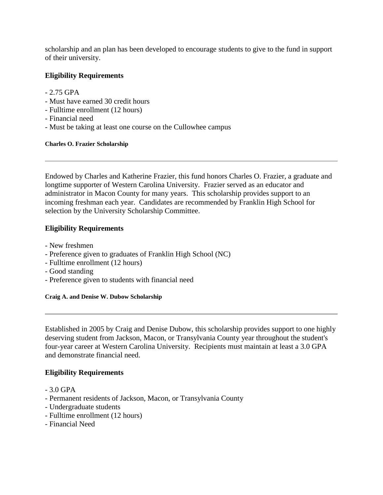scholarship and an plan has been developed to encourage students to give to the fund in support of their university.

# **Eligibility Requirements**

- 2.75 GPA
- Must have earned 30 credit hours
- Fulltime enrollment (12 hours)
- Financial need
- Must be taking at least one course on the Cullowhee campus

### **Charles O. Frazier Scholarship**

Endowed by Charles and Katherine Frazier, this fund honors Charles O. Frazier, a graduate and longtime supporter of Western Carolina University. Frazier served as an educator and administrator in Macon County for many years. This scholarship provides support to an incoming freshman each year. Candidates are recommended by Franklin High School for selection by the University Scholarship Committee.

# **Eligibility Requirements**

- New freshmen
- Preference given to graduates of Franklin High School (NC)
- Fulltime enrollment (12 hours)
- Good standing
- Preference given to students with financial need

### **Craig A. and Denise W. Dubow Scholarship**

Established in 2005 by Craig and Denise Dubow, this scholarship provides support to one highly deserving student from Jackson, Macon, or Transylvania County year throughout the student's four-year career at Western Carolina University. Recipients must maintain at least a 3.0 GPA and demonstrate financial need.

- 3.0 GPA
- Permanent residents of Jackson, Macon, or Transylvania County
- Undergraduate students
- Fulltime enrollment (12 hours)
- Financial Need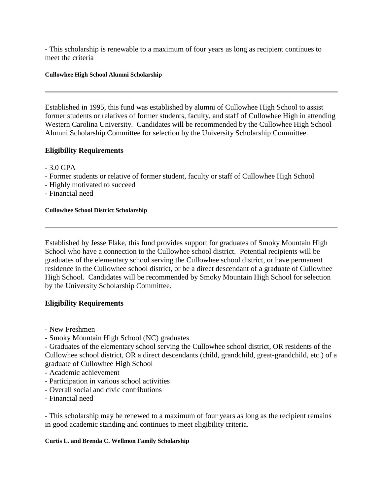- This scholarship is renewable to a maximum of four years as long as recipient continues to meet the criteria

### **Cullowhee High School Alumni Scholarship**

Established in 1995, this fund was established by alumni of Cullowhee High School to assist former students or relatives of former students, faculty, and staff of Cullowhee High in attending Western Carolina University. Candidates will be recommended by the Cullowhee High School Alumni Scholarship Committee for selection by the University Scholarship Committee.

# **Eligibility Requirements**

- 3.0 GPA
- Former students or relative of former student, faculty or staff of Cullowhee High School
- Highly motivated to succeed
- Financial need

### **Cullowhee School District Scholarship**

Established by Jesse Flake, this fund provides support for graduates of Smoky Mountain High School who have a connection to the Cullowhee school district. Potential recipients will be graduates of the elementary school serving the Cullowhee school district, or have permanent residence in the Cullowhee school district, or be a direct descendant of a graduate of Cullowhee High School. Candidates will be recommended by Smoky Mountain High School for selection by the University Scholarship Committee.

## **Eligibility Requirements**

- New Freshmen
- Smoky Mountain High School (NC) graduates

- Graduates of the elementary school serving the Cullowhee school district, OR residents of the Cullowhee school district, OR a direct descendants (child, grandchild, great-grandchild, etc.) of a graduate of Cullowhee High School

- Academic achievement
- Participation in various school activities
- Overall social and civic contributions
- Financial need

- This scholarship may be renewed to a maximum of four years as long as the recipient remains in good academic standing and continues to meet eligibility criteria.

### **Curtis L. and Brenda C. Wellmon Family Scholarship**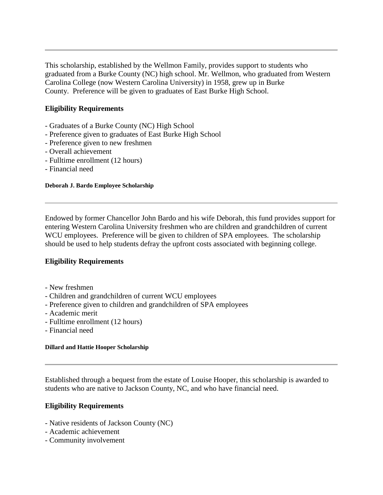This scholarship, established by the Wellmon Family, provides support to students who graduated from a Burke County (NC) high school. Mr. Wellmon, who graduated from Western Carolina College (now Western Carolina University) in 1958, grew up in Burke County. Preference will be given to graduates of East Burke High School.

# **Eligibility Requirements**

- Graduates of a Burke County (NC) High School
- Preference given to graduates of East Burke High School
- Preference given to new freshmen
- Overall achievement
- Fulltime enrollment (12 hours)
- Financial need

### **Deborah J. Bardo Employee Scholarship**

Endowed by former Chancellor John Bardo and his wife Deborah, this fund provides support for entering Western Carolina University freshmen who are children and grandchildren of current WCU employees. Preference will be given to children of SPA employees. The scholarship should be used to help students defray the upfront costs associated with beginning college.

# **Eligibility Requirements**

- New freshmen
- Children and grandchildren of current WCU employees
- Preference given to children and grandchildren of SPA employees
- Academic merit
- Fulltime enrollment (12 hours)
- Financial need

### **Dillard and Hattie Hooper Scholarship**

Established through a bequest from the estate of Louise Hooper, this scholarship is awarded to students who are native to Jackson County, NC, and who have financial need.

- Native residents of Jackson County (NC)
- Academic achievement
- Community involvement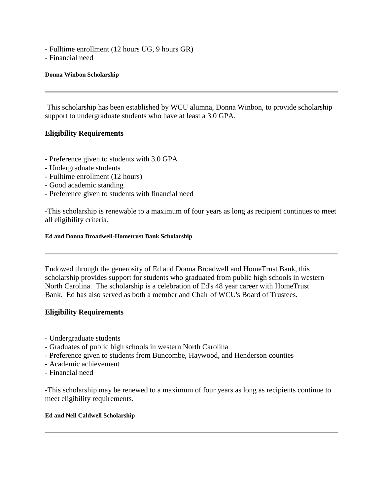- Fulltime enrollment (12 hours UG, 9 hours GR)
- Financial need

### **Donna Winbon Scholarship**

This scholarship has been established by WCU alumna, Donna Winbon, to provide scholarship support to undergraduate students who have at least a 3.0 GPA.

## **Eligibility Requirements**

- Preference given to students with 3.0 GPA
- Undergraduate students
- Fulltime enrollment (12 hours)
- Good academic standing
- Preference given to students with financial need

-This scholarship is renewable to a maximum of four years as long as recipient continues to meet all eligibility criteria.

### **Ed and Donna Broadwell-Hometrust Bank Scholarship**

Endowed through the generosity of Ed and Donna Broadwell and HomeTrust Bank, this scholarship provides support for students who graduated from public high schools in western North Carolina. The scholarship is a celebration of Ed's 48 year career with HomeTrust Bank. Ed has also served as both a member and Chair of WCU's Board of Trustees.

## **Eligibility Requirements**

- Undergraduate students
- Graduates of public high schools in western North Carolina
- Preference given to students from Buncombe, Haywood, and Henderson counties
- Academic achievement
- Financial need

-This scholarship may be renewed to a maximum of four years as long as recipients continue to meet eligibility requirements.

### **Ed and Nell Caldwell Scholarship**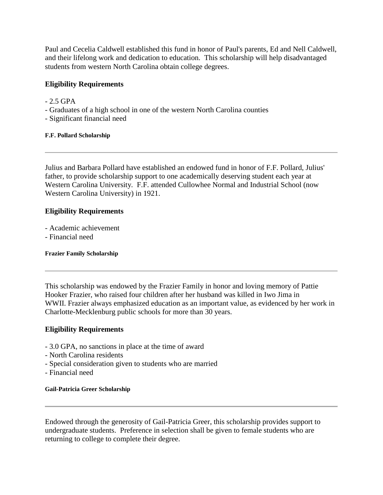Paul and Cecelia Caldwell established this fund in honor of Paul's parents, Ed and Nell Caldwell, and their lifelong work and dedication to education. This scholarship will help disadvantaged students from western North Carolina obtain college degrees.

# **Eligibility Requirements**

- $-2.5$  GPA
- Graduates of a high school in one of the western North Carolina counties
- Significant financial need

# **F.F. Pollard Scholarship**

Julius and Barbara Pollard have established an endowed fund in honor of F.F. Pollard, Julius' father, to provide scholarship support to one academically deserving student each year at Western Carolina University. F.F. attended Cullowhee Normal and Industrial School (now Western Carolina University) in 1921.

# **Eligibility Requirements**

- Academic achievement
- Financial need

## **Frazier Family Scholarship**

This scholarship was endowed by the Frazier Family in honor and loving memory of Pattie Hooker Frazier, who raised four children after her husband was killed in Iwo Jima in WWII. Frazier always emphasized education as an important value, as evidenced by her work in Charlotte-Mecklenburg public schools for more than 30 years.

# **Eligibility Requirements**

- 3.0 GPA, no sanctions in place at the time of award
- North Carolina residents
- Special consideration given to students who are married
- Financial need

## **Gail-Patricia Greer Scholarship**

Endowed through the generosity of Gail-Patricia Greer, this scholarship provides support to undergraduate students. Preference in selection shall be given to female students who are returning to college to complete their degree.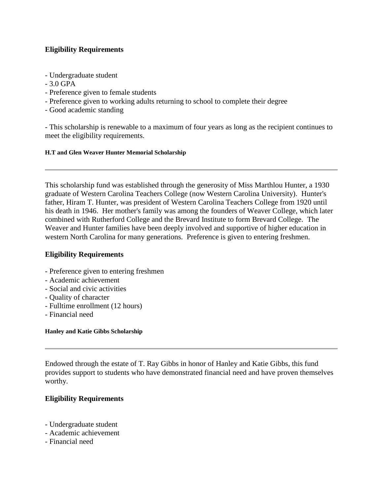# **Eligibility Requirements**

- Undergraduate student
- $-3.0$  GPA
- Preference given to female students
- Preference given to working adults returning to school to complete their degree
- Good academic standing

- This scholarship is renewable to a maximum of four years as long as the recipient continues to meet the eligibility requirements.

### **H.T and Glen Weaver Hunter Memorial Scholarship**

This scholarship fund was established through the generosity of Miss Marthlou Hunter, a 1930 graduate of Western Carolina Teachers College (now Western Carolina University). Hunter's father, Hiram T. Hunter, was president of Western Carolina Teachers College from 1920 until his death in 1946. Her mother's family was among the founders of Weaver College, which later combined with Rutherford College and the Brevard Institute to form Brevard College. The Weaver and Hunter families have been deeply involved and supportive of higher education in western North Carolina for many generations. Preference is given to entering freshmen.

# **Eligibility Requirements**

- Preference given to entering freshmen
- Academic achievement
- Social and civic activities
- Quality of character
- Fulltime enrollment (12 hours)
- Financial need

### **Hanley and Katie Gibbs Scholarship**

Endowed through the estate of T. Ray Gibbs in honor of Hanley and Katie Gibbs, this fund provides support to students who have demonstrated financial need and have proven themselves worthy.

- Undergraduate student
- Academic achievement
- Financial need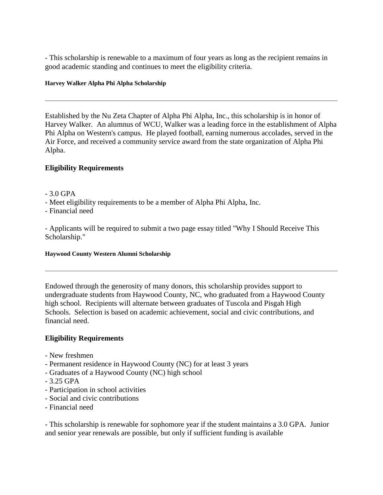- This scholarship is renewable to a maximum of four years as long as the recipient remains in good academic standing and continues to meet the eligibility criteria.

### **Harvey Walker Alpha Phi Alpha Scholarship**

Established by the Nu Zeta Chapter of Alpha Phi Alpha, Inc., this scholarship is in honor of Harvey Walker. An alumnus of WCU, Walker was a leading force in the establishment of Alpha Phi Alpha on Western's campus. He played football, earning numerous accolades, served in the Air Force, and received a community service award from the state organization of Alpha Phi Alpha.

# **Eligibility Requirements**

- 3.0 GPA
- Meet eligibility requirements to be a member of Alpha Phi Alpha, Inc.
- Financial need

- Applicants will be required to submit a two page essay titled "Why I Should Receive This Scholarship."

### **Haywood County Western Alumni Scholarship**

Endowed through the generosity of many donors, this scholarship provides support to undergraduate students from Haywood County, NC, who graduated from a Haywood County high school. Recipients will alternate between graduates of Tuscola and Pisgah High Schools. Selection is based on academic achievement, social and civic contributions, and financial need.

## **Eligibility Requirements**

- New freshmen
- Permanent residence in Haywood County (NC) for at least 3 years
- Graduates of a Haywood County (NC) high school
- 3.25 GPA
- Participation in school activities
- Social and civic contributions
- Financial need

- This scholarship is renewable for sophomore year if the student maintains a 3.0 GPA. Junior and senior year renewals are possible, but only if sufficient funding is available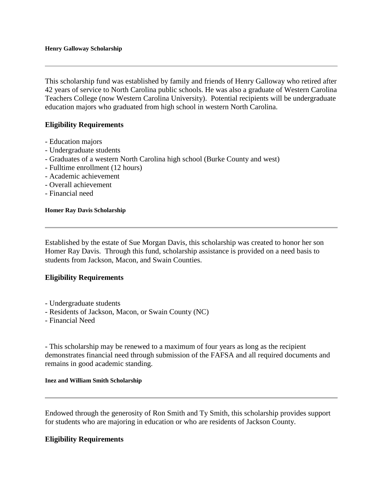This scholarship fund was established by family and friends of Henry Galloway who retired after 42 years of service to North Carolina public schools. He was also a graduate of Western Carolina Teachers College (now Western Carolina University). Potential recipients will be undergraduate education majors who graduated from high school in western North Carolina.

## **Eligibility Requirements**

- Education majors
- Undergraduate students
- Graduates of a western North Carolina high school (Burke County and west)
- Fulltime enrollment (12 hours)
- Academic achievement
- Overall achievement
- Financial need

**Homer Ray Davis Scholarship**

Established by the estate of Sue Morgan Davis, this scholarship was created to honor her son Homer Ray Davis. Through this fund, scholarship assistance is provided on a need basis to students from Jackson, Macon, and Swain Counties.

## **Eligibility Requirements**

- Undergraduate students
- Residents of Jackson, Macon, or Swain County (NC)
- Financial Need

- This scholarship may be renewed to a maximum of four years as long as the recipient demonstrates financial need through submission of the FAFSA and all required documents and remains in good academic standing.

### **Inez and William Smith Scholarship**

Endowed through the generosity of Ron Smith and Ty Smith, this scholarship provides support for students who are majoring in education or who are residents of Jackson County.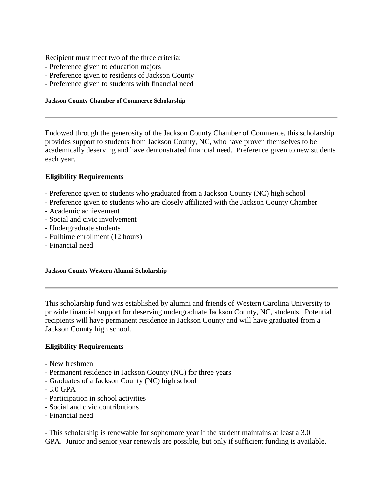Recipient must meet two of the three criteria:

- Preference given to education majors
- Preference given to residents of Jackson County
- Preference given to students with financial need

### **Jackson County Chamber of Commerce Scholarship**

Endowed through the generosity of the Jackson County Chamber of Commerce, this scholarship provides support to students from Jackson County, NC, who have proven themselves to be academically deserving and have demonstrated financial need. Preference given to new students each year.

## **Eligibility Requirements**

- Preference given to students who graduated from a Jackson County (NC) high school
- Preference given to students who are closely affiliated with the Jackson County Chamber
- Academic achievement
- Social and civic involvement
- Undergraduate students
- Fulltime enrollment (12 hours)
- Financial need

### **Jackson County Western Alumni Scholarship**

This scholarship fund was established by alumni and friends of Western Carolina University to provide financial support for deserving undergraduate Jackson County, NC, students. Potential recipients will have permanent residence in Jackson County and will have graduated from a Jackson County high school.

## **Eligibility Requirements**

- New freshmen
- Permanent residence in Jackson County (NC) for three years
- Graduates of a Jackson County (NC) high school
- 3.0 GPA
- Participation in school activities
- Social and civic contributions
- Financial need

- This scholarship is renewable for sophomore year if the student maintains at least a 3.0 GPA. Junior and senior year renewals are possible, but only if sufficient funding is available.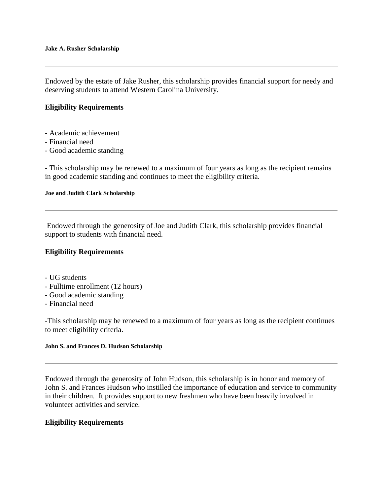Endowed by the estate of Jake Rusher, this scholarship provides financial support for needy and deserving students to attend Western Carolina University.

## **Eligibility Requirements**

- Academic achievement
- Financial need
- Good academic standing

- This scholarship may be renewed to a maximum of four years as long as the recipient remains in good academic standing and continues to meet the eligibility criteria.

### **Joe and Judith Clark Scholarship**

Endowed through the generosity of Joe and Judith Clark, this scholarship provides financial support to students with financial need.

## **Eligibility Requirements**

- UG students
- Fulltime enrollment (12 hours)
- Good academic standing
- Financial need

-This scholarship may be renewed to a maximum of four years as long as the recipient continues to meet eligibility criteria.

### **John S. and Frances D. Hudson Scholarship**

Endowed through the generosity of John Hudson, this scholarship is in honor and memory of John S. and Frances Hudson who instilled the importance of education and service to community in their children. It provides support to new freshmen who have been heavily involved in volunteer activities and service.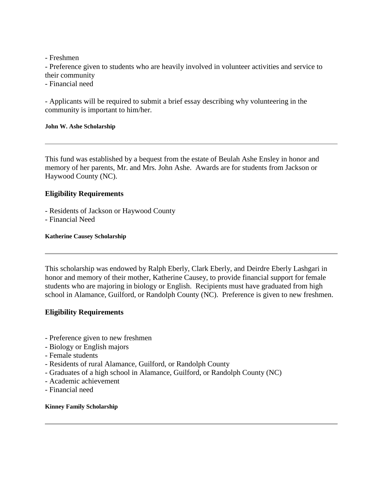- Freshmen

- Preference given to students who are heavily involved in volunteer activities and service to their community

- Financial need

- Applicants will be required to submit a brief essay describing why volunteering in the community is important to him/her.

### **John W. Ashe Scholarship**

This fund was established by a bequest from the estate of Beulah Ashe Ensley in honor and memory of her parents, Mr. and Mrs. John Ashe. Awards are for students from Jackson or Haywood County (NC).

# **Eligibility Requirements**

- Residents of Jackson or Haywood County
- Financial Need

### **Katherine Causey Scholarship**

This scholarship was endowed by Ralph Eberly, Clark Eberly, and Deirdre Eberly Lashgari in honor and memory of their mother, Katherine Causey, to provide financial support for female students who are majoring in biology or English. Recipients must have graduated from high school in Alamance, Guilford, or Randolph County (NC). Preference is given to new freshmen.

# **Eligibility Requirements**

- Preference given to new freshmen
- Biology or English majors
- Female students
- Residents of rural Alamance, Guilford, or Randolph County
- Graduates of a high school in Alamance, Guilford, or Randolph County (NC)
- Academic achievement
- Financial need

### **Kinney Family Scholarship**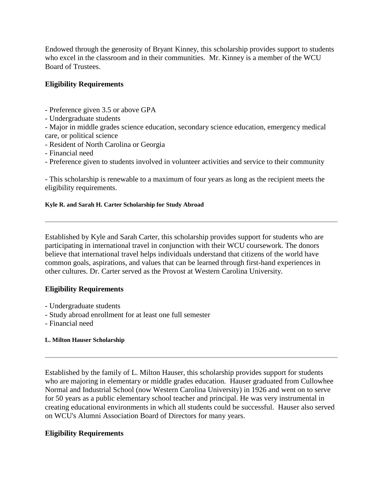Endowed through the generosity of Bryant Kinney, this scholarship provides support to students who excel in the classroom and in their communities. Mr. Kinney is a member of the WCU Board of Trustees.

# **Eligibility Requirements**

- Preference given 3.5 or above GPA
- Undergraduate students

- Major in middle grades science education, secondary science education, emergency medical care, or political science

- Resident of North Carolina or Georgia
- Financial need
- Preference given to students involved in volunteer activities and service to their community

- This scholarship is renewable to a maximum of four years as long as the recipient meets the eligibility requirements.

# **Kyle R. and Sarah H. Carter Scholarship for Study Abroad**

Established by Kyle and Sarah Carter, this scholarship provides support for students who are participating in international travel in conjunction with their WCU coursework. The donors believe that international travel helps individuals understand that citizens of the world have common goals, aspirations, and values that can be learned through first-hand experiences in other cultures. Dr. Carter served as the Provost at Western Carolina University.

# **Eligibility Requirements**

- Undergraduate students
- Study abroad enrollment for at least one full semester
- Financial need

# **L. Milton Hauser Scholarship**

Established by the family of L. Milton Hauser, this scholarship provides support for students who are majoring in elementary or middle grades education. Hauser graduated from Cullowhee Normal and Industrial School (now Western Carolina University) in 1926 and went on to serve for 50 years as a public elementary school teacher and principal. He was very instrumental in creating educational environments in which all students could be successful. Hauser also served on WCU's Alumni Association Board of Directors for many years.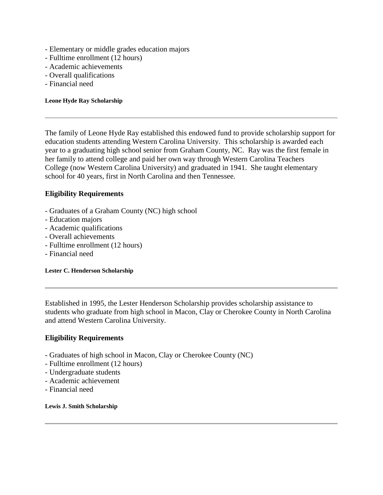- Elementary or middle grades education majors
- Fulltime enrollment (12 hours)
- Academic achievements
- Overall qualifications
- Financial need

**Leone Hyde Ray Scholarship**

The family of Leone Hyde Ray established this endowed fund to provide scholarship support for education students attending Western Carolina University. This scholarship is awarded each year to a graduating high school senior from Graham County, NC. Ray was the first female in her family to attend college and paid her own way through Western Carolina Teachers College (now Western Carolina University) and graduated in 1941. She taught elementary school for 40 years, first in North Carolina and then Tennessee.

## **Eligibility Requirements**

- Graduates of a Graham County (NC) high school
- Education majors
- Academic qualifications
- Overall achievements
- Fulltime enrollment (12 hours)
- Financial need

**Lester C. Henderson Scholarship**

Established in 1995, the Lester Henderson Scholarship provides scholarship assistance to students who graduate from high school in Macon, Clay or Cherokee County in North Carolina and attend Western Carolina University.

## **Eligibility Requirements**

- Graduates of high school in Macon, Clay or Cherokee County (NC)
- Fulltime enrollment (12 hours)
- Undergraduate students
- Academic achievement
- Financial need

**Lewis J. Smith Scholarship**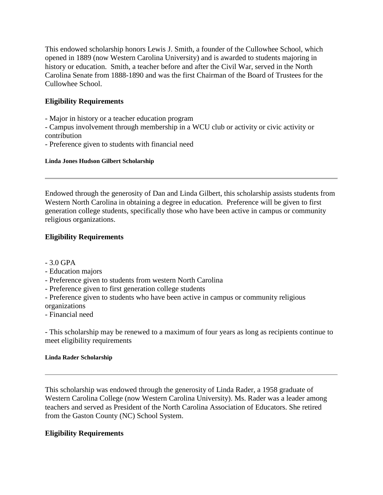This endowed scholarship honors Lewis J. Smith, a founder of the Cullowhee School, which opened in 1889 (now Western Carolina University) and is awarded to students majoring in history or education. Smith, a teacher before and after the Civil War, served in the North Carolina Senate from 1888-1890 and was the first Chairman of the Board of Trustees for the Cullowhee School.

# **Eligibility Requirements**

- Major in history or a teacher education program

- Campus involvement through membership in a WCU club or activity or civic activity or contribution

- Preference given to students with financial need

### **Linda Jones Hudson Gilbert Scholarship**

Endowed through the generosity of Dan and Linda Gilbert, this scholarship assists students from Western North Carolina in obtaining a degree in education. Preference will be given to first generation college students, specifically those who have been active in campus or community religious organizations.

# **Eligibility Requirements**

- 3.0 GPA

- Education majors
- Preference given to students from western North Carolina
- Preference given to first generation college students
- Preference given to students who have been active in campus or community religious organizations
- Financial need

- This scholarship may be renewed to a maximum of four years as long as recipients continue to meet eligibility requirements

## **Linda Rader Scholarship**

This scholarship was endowed through the generosity of Linda Rader, a 1958 graduate of Western Carolina College (now Western Carolina University). Ms. Rader was a leader among teachers and served as President of the North Carolina Association of Educators. She retired from the Gaston County (NC) School System.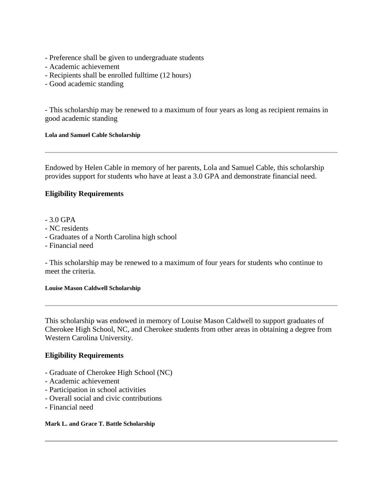- Preference shall be given to undergraduate students
- Academic achievement
- Recipients shall be enrolled fulltime (12 hours)
- Good academic standing

- This scholarship may be renewed to a maximum of four years as long as recipient remains in good academic standing

### **Lola and Samuel Cable Scholarship**

Endowed by Helen Cable in memory of her parents, Lola and Samuel Cable, this scholarship provides support for students who have at least a 3.0 GPA and demonstrate financial need.

# **Eligibility Requirements**

- 3.0 GPA
- NC residents
- Graduates of a North Carolina high school
- Financial need

- This scholarship may be renewed to a maximum of four years for students who continue to meet the criteria.

### **Louise Mason Caldwell Scholarship**

This scholarship was endowed in memory of Louise Mason Caldwell to support graduates of Cherokee High School, NC, and Cherokee students from other areas in obtaining a degree from Western Carolina University.

# **Eligibility Requirements**

- Graduate of Cherokee High School (NC)
- Academic achievement
- Participation in school activities
- Overall social and civic contributions
- Financial need

### **Mark L. and Grace T. Battle Scholarship**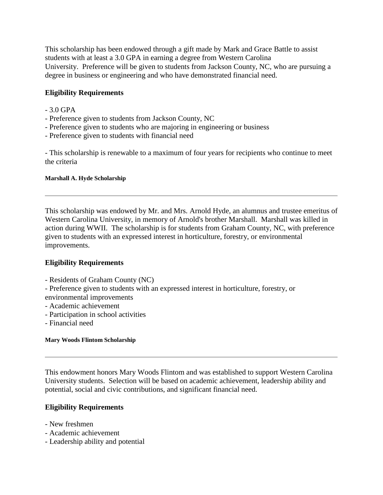This scholarship has been endowed through a gift made by Mark and Grace Battle to assist students with at least a 3.0 GPA in earning a degree from Western Carolina University. Preference will be given to students from Jackson County, NC, who are pursuing a degree in business or engineering and who have demonstrated financial need.

# **Eligibility Requirements**

- 3.0 GPA
- Preference given to students from Jackson County, NC
- Preference given to students who are majoring in engineering or business
- Preference given to students with financial need

- This scholarship is renewable to a maximum of four years for recipients who continue to meet the criteria

### **Marshall A. Hyde Scholarship**

This scholarship was endowed by Mr. and Mrs. Arnold Hyde, an alumnus and trustee emeritus of Western Carolina University, in memory of Arnold's brother Marshall. Marshall was killed in action during WWII. The scholarship is for students from Graham County, NC, with preference given to students with an expressed interest in horticulture, forestry, or environmental improvements.

# **Eligibility Requirements**

- Residents of Graham County (NC)

- Preference given to students with an expressed interest in horticulture, forestry, or

- environmental improvements
- Academic achievement
- Participation in school activities
- Financial need

### **Mary Woods Flintom Scholarship**

This endowment honors Mary Woods Flintom and was established to support Western Carolina University students. Selection will be based on academic achievement, leadership ability and potential, social and civic contributions, and significant financial need.

- New freshmen
- Academic achievement
- Leadership ability and potential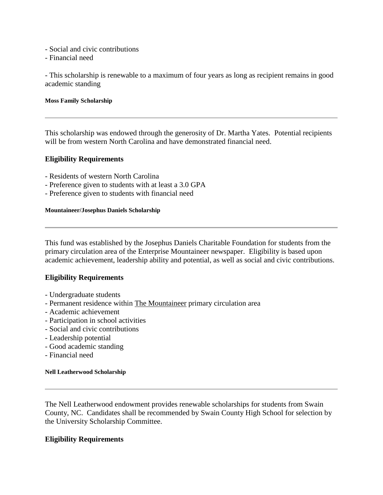- Social and civic contributions
- Financial need

- This scholarship is renewable to a maximum of four years as long as recipient remains in good academic standing

### **Moss Family Scholarship**

This scholarship was endowed through the generosity of Dr. Martha Yates. Potential recipients will be from western North Carolina and have demonstrated financial need.

### **Eligibility Requirements**

- Residents of western North Carolina
- Preference given to students with at least a 3.0 GPA
- Preference given to students with financial need

### **Mountaineer/Josephus Daniels Scholarship**

This fund was established by the Josephus Daniels Charitable Foundation for students from the primary circulation area of the Enterprise Mountaineer newspaper. Eligibility is based upon academic achievement, leadership ability and potential, as well as social and civic contributions.

## **Eligibility Requirements**

- Undergraduate students
- Permanent residence within The Mountaineer primary circulation area
- Academic achievement
- Participation in school activities
- Social and civic contributions
- Leadership potential
- Good academic standing
- Financial need

### **Nell Leatherwood Scholarship**

The Nell Leatherwood endowment provides renewable scholarships for students from Swain County, NC. Candidates shall be recommended by Swain County High School for selection by the University Scholarship Committee.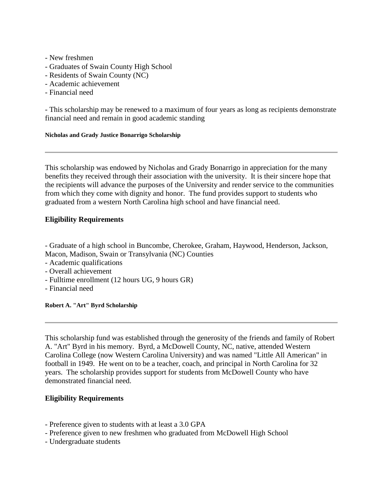- New freshmen
- Graduates of Swain County High School
- Residents of Swain County (NC)
- Academic achievement
- Financial need

- This scholarship may be renewed to a maximum of four years as long as recipients demonstrate financial need and remain in good academic standing

### **Nicholas and Grady Justice Bonarrigo Scholarship**

This scholarship was endowed by Nicholas and Grady Bonarrigo in appreciation for the many benefits they received through their association with the university. It is their sincere hope that the recipients will advance the purposes of the University and render service to the communities from which they come with dignity and honor. The fund provides support to students who graduated from a western North Carolina high school and have financial need.

# **Eligibility Requirements**

- Graduate of a high school in Buncombe, Cherokee, Graham, Haywood, Henderson, Jackson, Macon, Madison, Swain or Transylvania (NC) Counties

- Academic qualifications
- Overall achievement
- Fulltime enrollment (12 hours UG, 9 hours GR)
- Financial need

**Robert A. "Art" Byrd Scholarship**

This scholarship fund was established through the generosity of the friends and family of Robert A. "Art" Byrd in his memory. Byrd, a McDowell County, NC, native, attended Western Carolina College (now Western Carolina University) and was named "Little All American" in football in 1949. He went on to be a teacher, coach, and principal in North Carolina for 32 years. The scholarship provides support for students from McDowell County who have demonstrated financial need.

- Preference given to students with at least a 3.0 GPA
- Preference given to new freshmen who graduated from McDowell High School
- Undergraduate students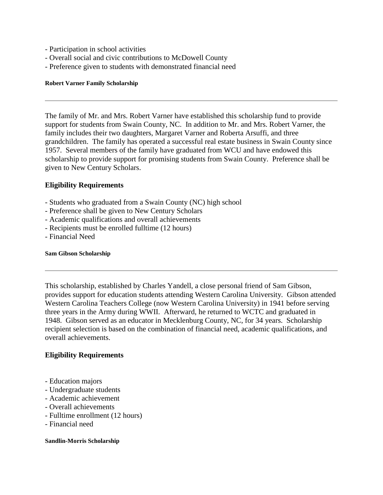- Participation in school activities
- Overall social and civic contributions to McDowell County
- Preference given to students with demonstrated financial need

### **Robert Varner Family Scholarship**

The family of Mr. and Mrs. Robert Varner have established this scholarship fund to provide support for students from Swain County, NC. In addition to Mr. and Mrs. Robert Varner, the family includes their two daughters, Margaret Varner and Roberta Arsuffi, and three grandchildren. The family has operated a successful real estate business in Swain County since 1957. Several members of the family have graduated from WCU and have endowed this scholarship to provide support for promising students from Swain County. Preference shall be given to New Century Scholars.

## **Eligibility Requirements**

- Students who graduated from a Swain County (NC) high school
- Preference shall be given to New Century Scholars
- Academic qualifications and overall achievements
- Recipients must be enrolled fulltime (12 hours)
- Financial Need

### **Sam Gibson Scholarship**

This scholarship, established by Charles Yandell, a close personal friend of Sam Gibson, provides support for education students attending Western Carolina University. Gibson attended Western Carolina Teachers College (now Western Carolina University) in 1941 before serving three years in the Army during WWII. Afterward, he returned to WCTC and graduated in 1948. Gibson served as an educator in Mecklenburg County, NC, for 34 years. Scholarship recipient selection is based on the combination of financial need, academic qualifications, and overall achievements.

## **Eligibility Requirements**

- Education majors
- Undergraduate students
- Academic achievement
- Overall achievements
- Fulltime enrollment (12 hours)
- Financial need

### **Sandlin-Morris Scholarship**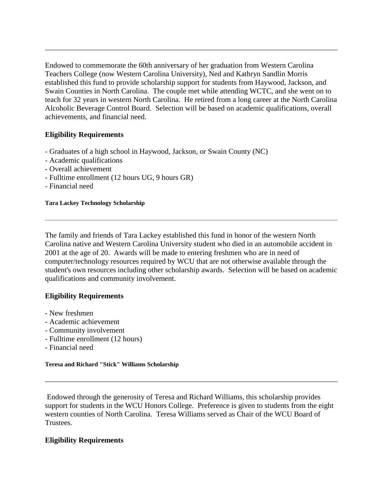Endowed to commemorate the 60th anniversary of her graduation from Western Carolina Teachers College (now Western Carolina University), Ned and Kathryn Sandlin Morris established this fund to provide scholarship support for students from Haywood, Jackson, and Swain Counties in North Carolina. The couple met while attending WCTC, and she went on to teach for 32 years in western North Carolina. He retired from a long career at the North Carolina Alcoholic Beverage Control Board. Selection will be based on academic qualifications, overall achievements, and financial need.

## **Eligibility Requirements**

- Graduates of a high school in Haywood, Jackson, or Swain County (NC)
- Academic qualifications
- Overall achievement
- Fulltime enrollment (12 hours UG, 9 hours GR)
- Financial need

### **Tara Lackey Technology Scholarship**

The family and friends of Tara Lackey established this fund in honor of the western North Carolina native and Western Carolina University student who died in an automobile accident in 2001 at the age of 20. Awards will be made to entering freshmen who are in need of computer/technology resources required by WCU that are not otherwise available through the student's own resources including other scholarship awards. Selection will be based on academic qualifications and community involvement.

## **Eligibility Requirements**

- New freshmen
- Academic achievement
- Community involvement
- Fulltime enrollment (12 hours)
- Financial need

### **Teresa and Richard "Stick" Williams Scholarship**

Endowed through the generosity of Teresa and Richard Williams, this scholarship provides support for students in the WCU Honors College. Preference is given to students from the eight western counties of North Carolina. Teresa Williams served as Chair of the WCU Board of Trustees.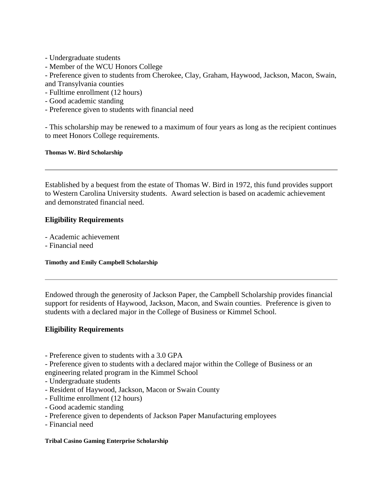- Undergraduate students
- Member of the WCU Honors College

- Preference given to students from Cherokee, Clay, Graham, Haywood, Jackson, Macon, Swain, and Transylvania counties

- Fulltime enrollment (12 hours)
- Good academic standing
- Preference given to students with financial need

- This scholarship may be renewed to a maximum of four years as long as the recipient continues to meet Honors College requirements.

### **Thomas W. Bird Scholarship**

Established by a bequest from the estate of Thomas W. Bird in 1972, this fund provides support to Western Carolina University students. Award selection is based on academic achievement and demonstrated financial need.

# **Eligibility Requirements**

- Academic achievement
- Financial need

**Timothy and Emily Campbell Scholarship**

Endowed through the generosity of Jackson Paper, the Campbell Scholarship provides financial support for residents of Haywood, Jackson, Macon, and Swain counties. Preference is given to students with a declared major in the College of Business or Kimmel School.

# **Eligibility Requirements**

- Preference given to students with a 3.0 GPA

- Preference given to students with a declared major within the College of Business or an engineering related program in the Kimmel School

- Undergraduate students
- Resident of Haywood, Jackson, Macon or Swain County
- Fulltime enrollment (12 hours)
- Good academic standing
- Preference given to dependents of Jackson Paper Manufacturing employees
- Financial need

### **Tribal Casino Gaming Enterprise Scholarship**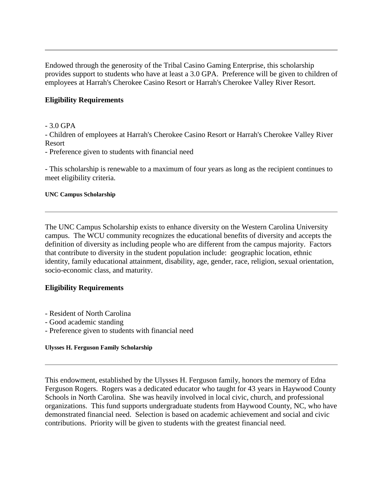Endowed through the generosity of the Tribal Casino Gaming Enterprise, this scholarship provides support to students who have at least a 3.0 GPA. Preference will be given to children of employees at Harrah's Cherokee Casino Resort or Harrah's Cherokee Valley River Resort.

# **Eligibility Requirements**

- 3.0 GPA

- Children of employees at Harrah's Cherokee Casino Resort or Harrah's Cherokee Valley River Resort

- Preference given to students with financial need

- This scholarship is renewable to a maximum of four years as long as the recipient continues to meet eligibility criteria.

### **UNC Campus Scholarship**

The UNC Campus Scholarship exists to enhance diversity on the Western Carolina University campus. The WCU community recognizes the educational benefits of diversity and accepts the definition of diversity as including people who are different from the campus majority. Factors that contribute to diversity in the student population include: geographic location, ethnic identity, family educational attainment, disability, age, gender, race, religion, sexual orientation, socio-economic class, and maturity.

## **Eligibility Requirements**

- Resident of North Carolina
- Good academic standing
- Preference given to students with financial need

### **Ulysses H. Ferguson Family Scholarship**

This endowment, established by the Ulysses H. Ferguson family, honors the memory of Edna Ferguson Rogers. Rogers was a dedicated educator who taught for 43 years in Haywood County Schools in North Carolina. She was heavily involved in local civic, church, and professional organizations. This fund supports undergraduate students from Haywood County, NC, who have demonstrated financial need. Selection is based on academic achievement and social and civic contributions. Priority will be given to students with the greatest financial need.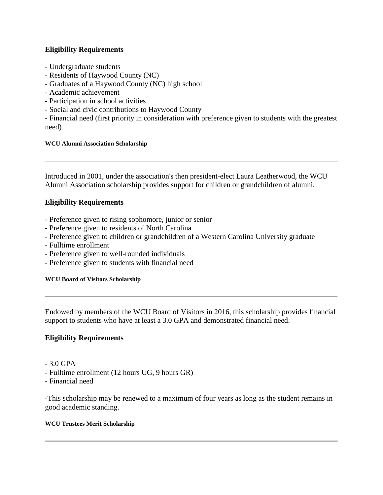# **Eligibility Requirements**

- Undergraduate students
- Residents of Haywood County (NC)
- Graduates of a Haywood County (NC) high school
- Academic achievement
- Participation in school activities
- Social and civic contributions to Haywood County

- Financial need (first priority in consideration with preference given to students with the greatest need)

## **WCU Alumni Association Scholarship**

Introduced in 2001, under the association's then president-elect Laura Leatherwood, the WCU Alumni Association scholarship provides support for children or grandchildren of alumni.

# **Eligibility Requirements**

- Preference given to rising sophomore, junior or senior
- Preference given to residents of North Carolina
- Preference given to children or grandchildren of a Western Carolina University graduate
- Fulltime enrollment
- Preference given to well-rounded individuals
- Preference given to students with financial need

## **WCU Board of Visitors Scholarship**

Endowed by members of the WCU Board of Visitors in 2016, this scholarship provides financial support to students who have at least a 3.0 GPA and demonstrated financial need.

# **Eligibility Requirements**

- 3.0 GPA
- Fulltime enrollment (12 hours UG, 9 hours GR)
- Financial need

-This scholarship may be renewed to a maximum of four years as long as the student remains in good academic standing.

## **WCU Trustees Merit Scholarship**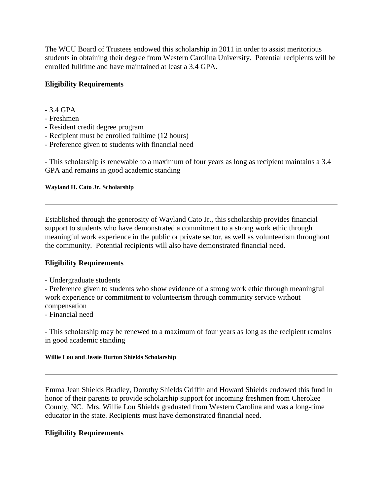The WCU Board of Trustees endowed this scholarship in 2011 in order to assist meritorious students in obtaining their degree from Western Carolina University. Potential recipients will be enrolled fulltime and have maintained at least a 3.4 GPA.

# **Eligibility Requirements**

- 3.4 GPA

## - Freshmen

- Resident credit degree program
- Recipient must be enrolled fulltime (12 hours)
- Preference given to students with financial need

- This scholarship is renewable to a maximum of four years as long as recipient maintains a 3.4 GPA and remains in good academic standing

### **Wayland H. Cato Jr. Scholarship**

Established through the generosity of Wayland Cato Jr., this scholarship provides financial support to students who have demonstrated a commitment to a strong work ethic through meaningful work experience in the public or private sector, as well as volunteerism throughout the community. Potential recipients will also have demonstrated financial need.

## **Eligibility Requirements**

- Undergraduate students

- Preference given to students who show evidence of a strong work ethic through meaningful work experience or commitment to volunteerism through community service without compensation

- Financial need

- This scholarship may be renewed to a maximum of four years as long as the recipient remains in good academic standing

### **Willie Lou and Jessie Burton Shields Scholarship**

Emma Jean Shields Bradley, Dorothy Shields Griffin and Howard Shields endowed this fund in honor of their parents to provide scholarship support for incoming freshmen from Cherokee County, NC. Mrs. Willie Lou Shields graduated from Western Carolina and was a long-time educator in the state. Recipients must have demonstrated financial need.